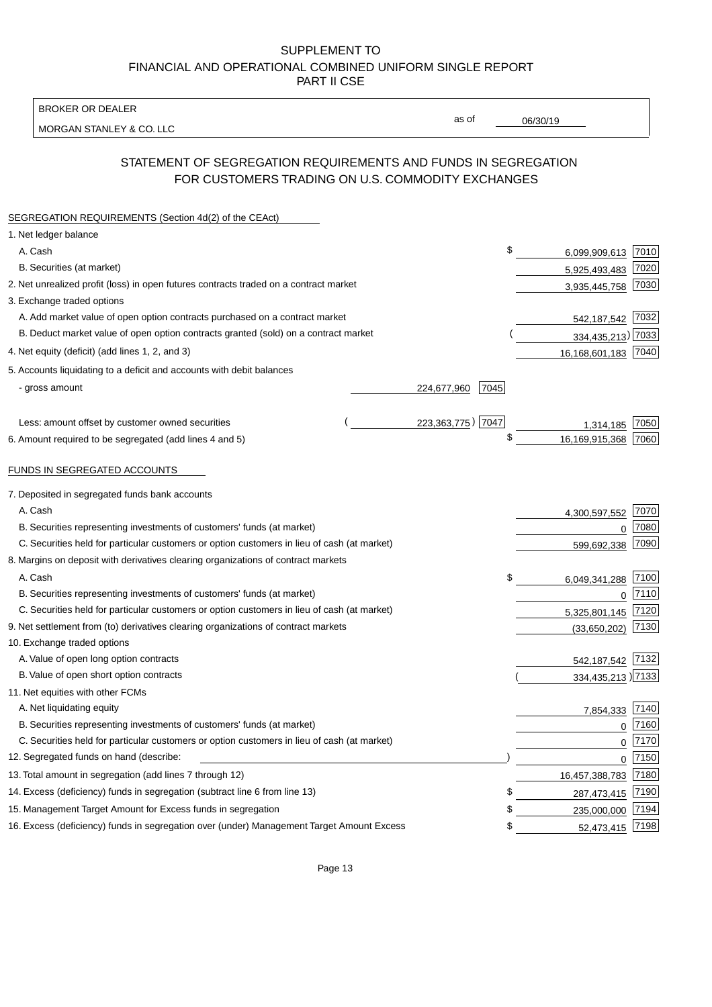BROKER OR DEALER

MORGAN STANLEY & CO. LLC

06/30/19

as of

# STATEMENT OF SEGREGATION REQUIREMENTS AND FUNDS IN SEGREGATION FOR CUSTOMERS TRADING ON U.S. COMMODITY EXCHANGES

| SEGREGATION REQUIREMENTS (Section 4d(2) of the CEAct)                                       |                     |                     |      |
|---------------------------------------------------------------------------------------------|---------------------|---------------------|------|
| 1. Net ledger balance                                                                       |                     |                     |      |
| A. Cash                                                                                     | \$                  | 6,099,909,613 7010  |      |
| B. Securities (at market)                                                                   |                     | 5,925,493,483       | 7020 |
| 2. Net unrealized profit (loss) in open futures contracts traded on a contract market       |                     | 3,935,445,758       | 7030 |
| 3. Exchange traded options                                                                  |                     |                     |      |
| A. Add market value of open option contracts purchased on a contract market                 |                     | 542,187,542 7032    |      |
| B. Deduct market value of open option contracts granted (sold) on a contract market         |                     | 334,435,213) 7033   |      |
| 4. Net equity (deficit) (add lines 1, 2, and 3)                                             |                     | 16,168,601,183 7040 |      |
| 5. Accounts liquidating to a deficit and accounts with debit balances                       |                     |                     |      |
| - gross amount                                                                              | 7045<br>224,677,960 |                     |      |
|                                                                                             |                     |                     |      |
| Less: amount offset by customer owned securities                                            | 223,363,775) 7047   | 1,314,185           | 7050 |
| 6. Amount required to be segregated (add lines 4 and 5)                                     | \$                  | 16,169,915,368      | 7060 |
| FUNDS IN SEGREGATED ACCOUNTS                                                                |                     |                     |      |
| 7. Deposited in segregated funds bank accounts                                              |                     |                     |      |
| A. Cash                                                                                     |                     | 4,300,597,552       | 7070 |
| B. Securities representing investments of customers' funds (at market)                      |                     | 0                   | 7080 |
| C. Securities held for particular customers or option customers in lieu of cash (at market) |                     | 599,692,338         | 7090 |
| 8. Margins on deposit with derivatives clearing organizations of contract markets           |                     |                     |      |
| A. Cash                                                                                     | \$                  | 6,049,341,288       | 7100 |
| B. Securities representing investments of customers' funds (at market)                      |                     | $\mathbf{0}$        | 7110 |
| C. Securities held for particular customers or option customers in lieu of cash (at market) |                     | 5,325,801,145       | 7120 |
| 9. Net settlement from (to) derivatives clearing organizations of contract markets          |                     | (33,650,202)        | 7130 |
| 10. Exchange traded options                                                                 |                     |                     |      |
| A. Value of open long option contracts                                                      |                     | 542,187,542         | 7132 |
| B. Value of open short option contracts                                                     |                     | 334,435,213) 7133   |      |
| 11. Net equities with other FCMs                                                            |                     |                     |      |
| A. Net liquidating equity                                                                   |                     | 7,854,333           | 7140 |
| B. Securities representing investments of customers' funds (at market)                      |                     | $\mathbf 0$         | 7160 |
| C. Securities held for particular customers or option customers in lieu of cash (at market) |                     | $\mathbf 0$         | 7170 |
| 12. Segregated funds on hand (describe:                                                     |                     | $\mathbf 0$         | 7150 |
| 13. Total amount in segregation (add lines 7 through 12)                                    |                     | 16,457,388,783 7180 |      |
| 14. Excess (deficiency) funds in segregation (subtract line 6 from line 13)                 | S                   | 287,473,415         | 7190 |
| 15. Management Target Amount for Excess funds in segregation                                | \$                  | 235,000,000         | 7194 |
| 16. Excess (deficiency) funds in segregation over (under) Management Target Amount Excess   | \$                  | 52,473,415          | 7198 |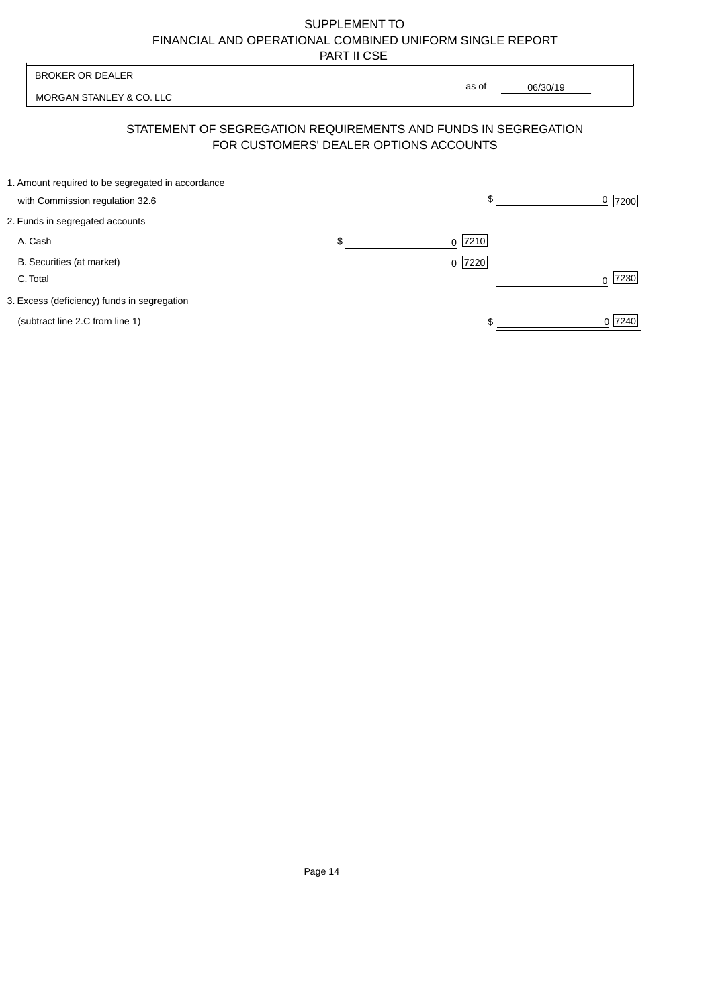| <b>BROKER OR DEALER</b>                                                              | as of                                  |          |                  |
|--------------------------------------------------------------------------------------|----------------------------------------|----------|------------------|
| MORGAN STANLEY & CO. LLC                                                             |                                        | 06/30/19 |                  |
| STATEMENT OF SEGREGATION REQUIREMENTS AND FUNDS IN SEGREGATION                       | FOR CUSTOMERS' DEALER OPTIONS ACCOUNTS |          |                  |
| 1. Amount required to be segregated in accordance<br>with Commission regulation 32.6 | \$                                     |          | 0<br>7200        |
| 2. Funds in segregated accounts                                                      |                                        |          |                  |
| A. Cash                                                                              | \$<br>7210<br><sup>0</sup>             |          |                  |
| B. Securities (at market)<br>C. Total                                                | 0 7220                                 |          | 7230<br>$\Omega$ |
| 3. Excess (deficiency) funds in segregation                                          |                                        |          |                  |
| (subtract line 2.C from line 1)                                                      |                                        |          | 0 7240           |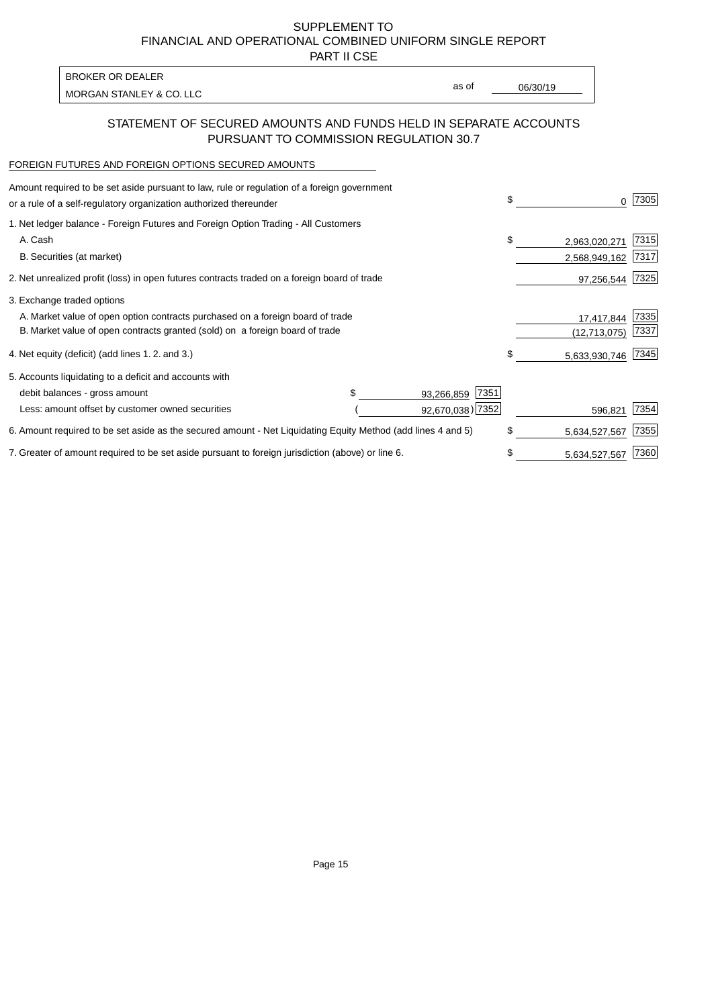PART II CSE

| <b>BROKER OR DEALER</b>  |       |          |
|--------------------------|-------|----------|
| MORGAN STANLEY & CO. LLC | as of | 06/30/19 |
|                          |       |          |

## STATEMENT OF SECURED AMOUNTS AND FUNDS HELD IN SEPARATE ACCOUNTS PURSUANT TO COMMISSION REGULATION 30.7

#### FOREIGN FUTURES AND FOREIGN OPTIONS SECURED AMOUNTS

| Amount required to be set aside pursuant to law, rule or regulation of a foreign government<br>or a rule of a self-regulatory organization authorized thereunder |  |                    | \$                  | 7305 |
|------------------------------------------------------------------------------------------------------------------------------------------------------------------|--|--------------------|---------------------|------|
| 1. Net ledger balance - Foreign Futures and Foreign Option Trading - All Customers                                                                               |  |                    |                     |      |
| A. Cash                                                                                                                                                          |  |                    | \$<br>2,963,020,271 | 7315 |
| B. Securities (at market)                                                                                                                                        |  |                    | 2,568,949,162       | 7317 |
| 2. Net unrealized profit (loss) in open futures contracts traded on a foreign board of trade                                                                     |  |                    | 97,256,544          | 7325 |
| 3. Exchange traded options                                                                                                                                       |  |                    |                     |      |
| A. Market value of open option contracts purchased on a foreign board of trade                                                                                   |  | 17,417,844         | 7335                |      |
| B. Market value of open contracts granted (sold) on a foreign board of trade                                                                                     |  |                    | (12,713,075)        | 7337 |
| 4. Net equity (deficit) (add lines 1.2. and 3.)                                                                                                                  |  |                    | \$<br>5,633,930,746 | 7345 |
| 5. Accounts liquidating to a deficit and accounts with                                                                                                           |  |                    |                     |      |
| debit balances - gross amount                                                                                                                                    |  | 7351<br>93,266,859 |                     |      |
| Less: amount offset by customer owned securities                                                                                                                 |  | 92,670,038) 7352   | 596.821             | 7354 |
| 6. Amount required to be set aside as the secured amount - Net Liquidating Equity Method (add lines 4 and 5)                                                     |  |                    | \$<br>5,634,527,567 | 7355 |
| 7. Greater of amount required to be set aside pursuant to foreign jurisdiction (above) or line 6.                                                                |  |                    | \$<br>5,634,527,567 | 7360 |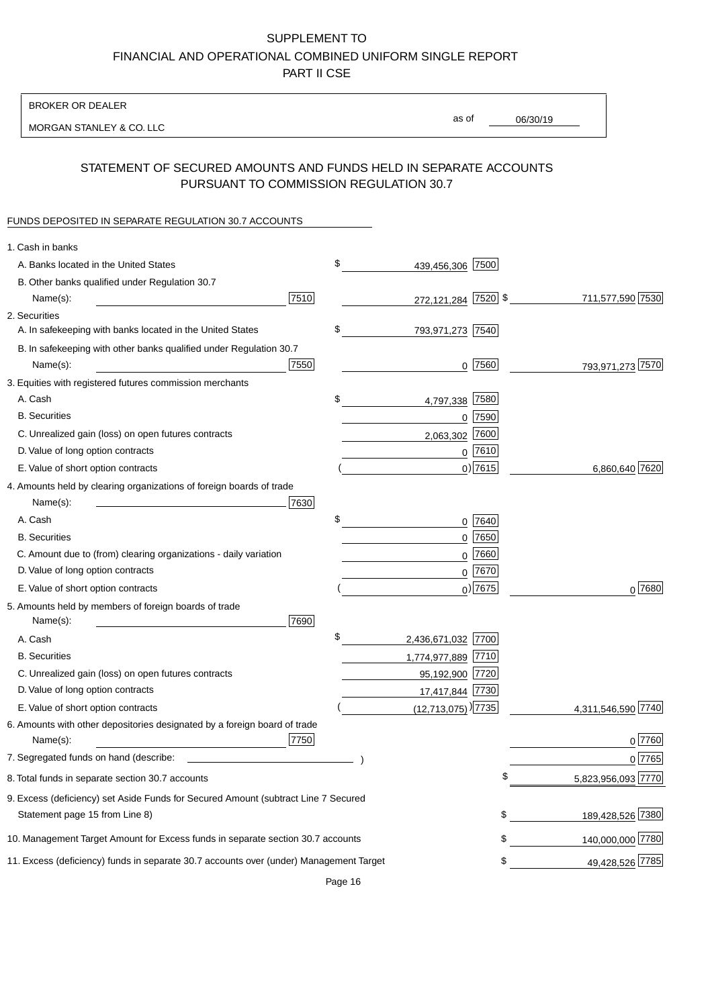BROKER OR DEALER

MORGAN STANLEY & CO. LLC

06/30/19 as of

## STATEMENT OF SECURED AMOUNTS AND FUNDS HELD IN SEPARATE ACCOUNTS PURSUANT TO COMMISSION REGULATION 30.7

### FUNDS DEPOSITED IN SEPARATE REGULATION 30.7 ACCOUNTS

| 1. Cash in banks                                                                             |                    |
|----------------------------------------------------------------------------------------------|--------------------|
| \$<br>439,456,306 7500<br>A. Banks located in the United States                              |                    |
| B. Other banks qualified under Regulation 30.7                                               |                    |
| 7510<br>272,121,284 7520 \$<br>Name(s):                                                      | 711,577,590 7530   |
| 2. Securities                                                                                |                    |
| \$<br>A. In safekeeping with banks located in the United States<br>793,971,273 7540          |                    |
| B. In safekeeping with other banks qualified under Regulation 30.7                           |                    |
| 7550<br>$0$  7560 <br>Name(s):                                                               | 793,971,273 7570   |
| 3. Equities with registered futures commission merchants                                     |                    |
| A. Cash<br>\$<br>7580<br>4,797,338                                                           |                    |
| <b>B.</b> Securities<br>$0$ 7590                                                             |                    |
| 7600<br>C. Unrealized gain (loss) on open futures contracts<br>2,063,302                     |                    |
| D. Value of long option contracts<br>$0$ 7610                                                |                    |
| $0$ ) 7615<br>E. Value of short option contracts                                             | 6,860,640 7620     |
| 4. Amounts held by clearing organizations of foreign boards of trade                         |                    |
| Name(s):<br>7630                                                                             |                    |
| \$<br>A. Cash<br>0 7640                                                                      |                    |
| <b>B.</b> Securities<br>$0$ 7650                                                             |                    |
| C. Amount due to (from) clearing organizations - daily variation<br>$0$ 7660                 |                    |
| D. Value of long option contracts<br>0 7670                                                  |                    |
| $0$ ) 7675<br>E. Value of short option contracts                                             | $0^{7680}$         |
| 5. Amounts held by members of foreign boards of trade                                        |                    |
| Name(s):<br>7690                                                                             |                    |
| \$<br>A. Cash<br>2,436,671,032 7700                                                          |                    |
| 1,774,977,889 7710<br><b>B.</b> Securities                                                   |                    |
| C. Unrealized gain (loss) on open futures contracts<br>95,192,900 7720                       |                    |
| D. Value of long option contracts<br>17,417,844 7730                                         |                    |
| $(12,713,075)$ <sup>[7735]</sup><br>E. Value of short option contracts                       | 4,311,546,590 7740 |
| 6. Amounts with other depositories designated by a foreign board of trade                    |                    |
| 7750<br>Name(s):                                                                             | 0 7760             |
| 7. Segregated funds on hand (describe:                                                       | 0 7765             |
| 8. Total funds in separate section 30.7 accounts                                             | 5,823,956,093 7770 |
| 9. Excess (deficiency) set Aside Funds for Secured Amount (subtract Line 7 Secured           |                    |
| \$<br>Statement page 15 from Line 8)                                                         | 189,428,526 7380   |
| \$<br>10. Management Target Amount for Excess funds in separate section 30.7 accounts        | 140,000,000 7780   |
| 11. Excess (deficiency) funds in separate 30.7 accounts over (under) Management Target<br>\$ | 49,428,526 7785    |